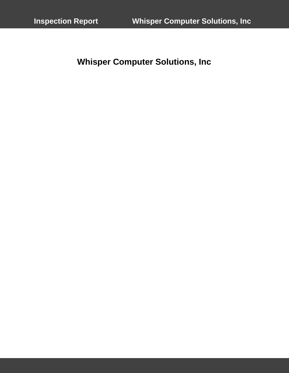**Whisper Computer Solutions, Inc**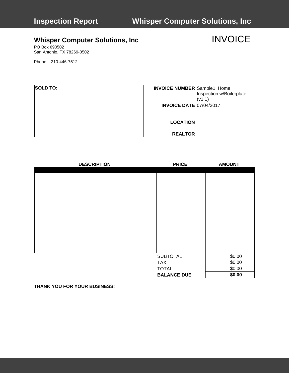# **,Whisper Computer Solutions, Inc** INVOICE

PO Box 690502 San Antonio, TX 78269-0502

Phone 210-446-7512

| <b>SOLD TO:</b> | <b>INVOICE NUMBER</b> Sample1: Home | Inspection w/Boilerplate<br>(v1.1) |
|-----------------|-------------------------------------|------------------------------------|
|                 | <b>INVOICE DATE 07/04/2017</b>      |                                    |
|                 | <b>LOCATION</b>                     |                                    |
|                 | <b>REALTOR</b>                      |                                    |

| <b>DESCRIPTION</b> | <b>PRICE</b>       | <b>AMOUNT</b> |
|--------------------|--------------------|---------------|
|                    |                    |               |
|                    |                    |               |
|                    |                    |               |
|                    |                    |               |
|                    |                    |               |
|                    |                    |               |
|                    |                    |               |
|                    |                    |               |
|                    |                    |               |
|                    |                    |               |
|                    |                    |               |
|                    |                    |               |
|                    |                    |               |
|                    | <b>SUBTOTAL</b>    | \$0.00        |
|                    | <b>TAX</b>         | \$0.00        |
|                    | <b>TOTAL</b>       | \$0.00        |
|                    | <b>BALANCE DUE</b> | \$0.00        |

**THANK YOU FOR YOUR BUSINESS!**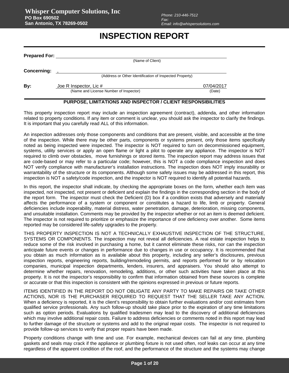## **INSPECTION REPORT**

| (Name of Client)       |                                                                                 |
|------------------------|---------------------------------------------------------------------------------|
|                        |                                                                                 |
| Joe R Inspector, Lic # | 07/04/2017                                                                      |
|                        | <b>Prepared For:</b><br>(Address or Other Identification of Inspected Property) |

### **PURPOSE, LIMITATIONS AND INSPECTOR / CLIENT RESPONSIBILITIES**

This property inspection report may include an inspection agreement (contract), addenda, and other information related to property conditions. If any item or comment is unclear, you should ask the inspector to clarify the findings. It is important that you carefully read ALL of this information.

An inspection addresses only those components and conditions that are present, visible, and accessible at the time of the inspection. While there may be other parts, components or systems present, only those items specifically noted as being inspected were inspected. The inspector is NOT required to turn on decommissioned equipment, systems, utility services or apply an open flame or light a pilot to operate any appliance. The inspector is NOT required to climb over obstacles, move furnishings or stored items. The inspection report may address issues that are code-based or may refer to a particular code; however, this is NOT a code compliance inspection and does NOT verify compliance with manufacturer's installation instructions. The inspection does NOT imply insurability or warrantability of the structure or its components. Although some safety issues may be addressed in this report, this inspection is NOT a safety/code inspection, and the inspector is NOT required to identify all potential hazards.

In this report, the inspector shall indicate, by checking the appropriate boxes on the form, whether each item was inspected, not inspected, not present or deficient and explain the findings in the corresponding section in the body of the report form. The inspector must check the Deficient (D) box if a condition exists that adversely and materially affects the performance of a system or component or constitutes a hazard to life, limb or property. General deficiencies include inoperability, material distress, water penetration, damage, deterioration, missing components, and unsuitable installation. Comments may be provided by the inspector whether or not an item is deemed deficient. The inspector is not required to prioritize or emphasize the importance of one deficiency over another. Some items reported may be considered life-safety upgrades to the property.

THIS PROPERTY INSPECTION IS NOT A TECHNICALLY EXHAUSTIVE INSPECTION OF THE STRUCTURE, SYSTEMS OR COMPONENTS. The inspection may not reveal all deficiencies. A real estate inspection helps to reduce some of the risk involved in purchasing a home, but it cannot eliminate these risks, nor can the inspection anticipate future events or changes in performance due to changes in use or occupancy. It is recommended that you obtain as much information as is available about this property, including any seller's disclosures, previous inspection reports, engineering reports, building/remodeling permits, and reports performed for or by relocation companies, municipal inspection departments, lenders, insurers, and appraisers. You should also attempt to determine whether repairs, renovation, remodeling, additions, or other such activities have taken place at this property. It is not the inspector's responsibility to confirm that information obtained from these sources is complete or accurate or that this inspection is consistent with the opinions expressed in previous or future reports.

ITEMS IDENTIFIED IN THE REPORT DO NOT OBLIGATE ANY PARTY TO MAKE REPAIRS OR TAKE OTHER ACTIONS, NOR IS THE PURCHASER REQUIRED TO REQUEST THAT THE SELLER TAKE ANY ACTION. When a deficiency is reported, it is the client's responsibility to obtain further evaluations and/or cost estimates from qualified service professionals. Any such follow-up should take place prior to the expiration of any time limitations such as option periods. Evaluations by qualified tradesmen may lead to the discovery of additional deficiencies which may involve additional repair costs. Failure to address deficiencies or comments noted in this report may lead to further damage of the structure or systems and add to the original repair costs. The inspector is not required to provide follow-up services to verify that proper repairs have been made.

Property conditions change with time and use. For example, mechanical devices can fail at any time, plumbing gaskets and seals may crack if the appliance or plumbing fixture is not used often, roof leaks can occur at any time regardless of the apparent condition of the roof, and the performance of the structure and the systems may change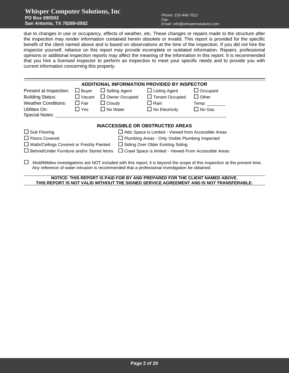### **Whisper Computer Solutions, Inc PO Box 690502 San Antonio, TX 78269-0502**

due to changes in use or occupancy, effects of weather, etc. These changes or repairs made to the structure after the inspection may render information contained herein obsolete or invalid. This report is provided for the specific benefit of the client named above and is based on observations at the time of the inspection. If you did not hire the inspector yourself, reliance on this report may provide incomplete or outdated information. Repairs, professional opinions or additional inspection reports may affect the meaning of the information in this report. It is recommended that you hire a licensed inspector to perform an inspection to meet your specific needs and to provide you with current information concerning this property.

|                                                  |               |                       | <b>ADDITIONAL INFORMATION PROVIDED BY INSPECTOR</b>                                                     |                                                                                                                                                                       |
|--------------------------------------------------|---------------|-----------------------|---------------------------------------------------------------------------------------------------------|-----------------------------------------------------------------------------------------------------------------------------------------------------------------------|
| Present at Inspection:                           | $\Box$ Buyer  | $\Box$ Selling Agent  | $\Box$ Listing Agent                                                                                    | $\Box$ Occupant                                                                                                                                                       |
| <b>Building Status:</b>                          | $\Box$ Vacant | $\Box$ Owner Occupied | $\Box$ Tenant Occupied                                                                                  | $\Box$ Other                                                                                                                                                          |
| <b>Weather Conditions:</b>                       | $\Box$ Fair   | $\Box$ Cloudy         | $\Box$ Rain                                                                                             |                                                                                                                                                                       |
| Utilities On:<br>Special Notes:                  | $\sqcup$ Yes  | $\Box$ No Water       | $\Box$ No Electricity                                                                                   | $\Box$ No Gas                                                                                                                                                         |
| $\Box$ Sub Flooring                              |               |                       | <b>INACCESSIBLE OR OBSTRUCTED AREAS</b><br>$\Box$ Attic Space is Limited - Viewed from Accessible Areas |                                                                                                                                                                       |
| $\Box$ Floors Covered                            |               |                       | $\Box$ Plumbing Areas - Only Visible Plumbing Inspected                                                 |                                                                                                                                                                       |
| $\Box$ Walls/Ceilings Covered or Freshly Painted |               |                       | $\Box$ Siding Over Older Existing Siding                                                                |                                                                                                                                                                       |
| Behind/Under Furniture and/or Stored Items       |               |                       | $\Box$ Crawl Space is limited - Viewed From Accessible Areas                                            |                                                                                                                                                                       |
| $\Box$                                           |               |                       | Any reference of water intrusion is recommended that a professional investigation be obtained.          | Mold/Mildew investigations are NOT included with this report; it is beyond the scope of this inspection at the present time.                                          |
|                                                  |               |                       |                                                                                                         | NOTICE: THIS REPORT IS PAID FOR BY AND PREPARED FOR THE CLIENT NAMED ABOVE.<br>THIS REPORT IS NOT VALID WITHOUT THE SIGNED SERVICE AGREEMENT AND IS NOT TRANSFERABLE. |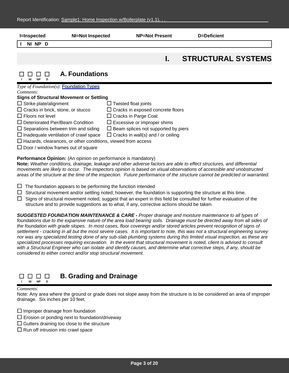| <b>I=Inspected</b><br><b>NI=Not Inspected</b>                                                                                                                                                                                                                                                                                                                                                                                   | <b>NP=Not Present</b>                                                                                                                                                                                                                   | D=Deficient               |
|---------------------------------------------------------------------------------------------------------------------------------------------------------------------------------------------------------------------------------------------------------------------------------------------------------------------------------------------------------------------------------------------------------------------------------|-----------------------------------------------------------------------------------------------------------------------------------------------------------------------------------------------------------------------------------------|---------------------------|
| NI NP D                                                                                                                                                                                                                                                                                                                                                                                                                         |                                                                                                                                                                                                                                         |                           |
|                                                                                                                                                                                                                                                                                                                                                                                                                                 | ı.                                                                                                                                                                                                                                      | <b>STRUCTURAL SYSTEMS</b> |
| A. Foundations<br><b>NP</b>                                                                                                                                                                                                                                                                                                                                                                                                     |                                                                                                                                                                                                                                         |                           |
| Type of Foundation(s): Foundation Types<br>Comments:<br><b>Signs of Structural Movement or Settling</b><br>$\Box$ Strike plate/alignment<br>$\Box$ Cracks in brick, stone, or stucco<br>$\Box$ Floors not level<br>$\Box$ Deteriorated Pier/Beam Condition<br>$\Box$ Separations between trim and siding<br>$\Box$ Inadequate ventilation of crawl space<br>$\Box$ Hazards, clearances, or other conditions, viewed from access | $\Box$ Twisted float joints<br>$\Box$ Cracks in exposed concrete floors<br>$\Box$ Cracks in Parge Coat<br>$\Box$ Excessive or improper shims<br>$\Box$ Beam splices not supported by piers<br>$\Box$ Cracks in wall(s) and / or ceiling |                           |

### **Performance Opinion:** (An opinion on performance is mandatory)

**Note:** *Weather conditions, drainage, leakage and other adverse factors are able to effect structures, and differential movements are likely to occur. The inspectors opinion is based on visual observations of accessible and unobstructed areas of the structure at the time of the inspection. Future performance of the structure cannot be predicted or warranted.*

- $\Box$  The foundation appears to be performing the function intended
- $\Box$  Structural movement and/or settling noted; however, the foundation is supporting the structure at this time.
- $\Box$  Signs of structural movement noted; suggest that an expert in this field be consulted for further evaluation of the structure and to provide suggestions as to what, if any, corrective actions should be taken.

*SUGGESTED FOUNDATION MAINTENANCE & CARE - Proper drainage and moisture maintenance to all types of foundations due to the expansive nature of the area load bearing soils. Drainage must be directed away from all sides of*  the foundation with grade slopes. In most cases, floor coverings and/or stored articles prevent recognition of signs of *settlement - cracking in all but the most severe cases. It is important to note, this was not a structural engineering survey nor was any specialized testing done of any sub-slab plumbing systems during this limited visual inspection, as these are specialized processes requiring excavation. In the event that structural movement is noted, client is advised to consult with a Structural Engineer who can isolate and identify causes, and determine what corrective steps, if any, should be considered to either correct and/or stop structural movement*.

#### **B. Grading and Drainage** 88888 **I NI NP D**

### *Comments*:

Note: Any area where the ground or grade does not slope away from the structure is to be considered an area of improper drainage. Six inches per 10 feet.

 $\Box$  Improper drainage from foundation

- $\square$  Erosion or ponding next to foundation/driveway
- $\Box$  Gutters draining too close to the structure
- $\Box$  Run off intrusion into crawl space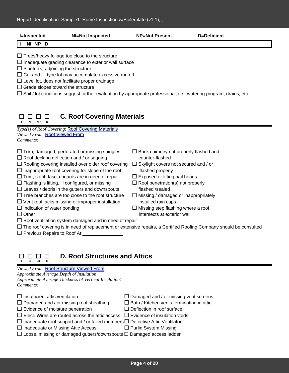| <b>I=Inspected</b>                                                                    | <b>NI=Not Inspected</b>                                                                                                                                                                                                                         | <b>NP=Not Present</b> | D=Deficient                                                                                                             |  |
|---------------------------------------------------------------------------------------|-------------------------------------------------------------------------------------------------------------------------------------------------------------------------------------------------------------------------------------------------|-----------------------|-------------------------------------------------------------------------------------------------------------------------|--|
| NI NP D                                                                               |                                                                                                                                                                                                                                                 |                       |                                                                                                                         |  |
| $\Box$ Planter(s) adjoining the structure<br>$\Box$ Grade slopes toward the structure | $\Box$ Trees/heavy foliage too close to the structure<br>$\Box$ Inadequate grading clearance to exterior wall surface<br>$\Box$ Cut and fill type lot may accumulate excessive run off<br>$\Box$ Level lot, does not facilitate proper drainage |                       | $\Box$ Soil / lot conditions suggest further evaluation by appropriate professional, i.e watering program, drains, etc. |  |

#### **C. Roof Covering Materials** 8888 **I NI NP D**

*Type(s) of Roof Covering*: Roof Covering Materials *Viewed From*: Roof Viewed From *Comments*:

- $\Box$  Torn, damaged, perforated or missing shingles  $\Box$  Brick chimney not properly flashed and
- $\Box$  Roof decking deflection and / or sagging counter-flashed  $\Box$  Roofing covering installed over older roof covering  $\Box$  Skylight covers not secured and / or
- $\Box$  Inappropriate roof covering for slope of the roof flashed properly
- $\Box$  Trim, soffit, fascia boards are in need of repair  $\Box$  Exposed or lifting nail heads
- $\Box$  Flashing is lifting, ill configured, or missing  $\Box$  Roof penetration(s) not properly
- $\square$  Leaves / debris in the gutters and downspouts flashed /sealed
- $\Box$  Tree branches are too close to the roof structure  $\Box$  Missing / damaged or inappropriately
- $\Box$  Vent roof jacks missing or improper installation installed rain caps
- 
- $\square$  Indication of water ponding  $\square$  Missing step flashing where a roof
- □ Other intersects at exterior wall
- $\Box$  Roof ventilation system damaged and in need of repair
- $\Box$  The roof covering is in need of replacement or extensive repairs, a Certified Roofing Company should be consulted

 $\square$  Previous Repairs to Roof At:

| I |   |   |  |
|---|---|---|--|
|   | D | n |  |

## **D. Roof Structures and Attics**

*Viewed From*: Roof Structure Viewed From

*Approximate Average Depth of Insulation*:

*Approximate Average Thickness of Vertical Insulation*: *Comments*:

| $\Box$ Insufficient attic ventilation                                                      | $\Box$ Damaged and / or missing vent screens     |
|--------------------------------------------------------------------------------------------|--------------------------------------------------|
| $\Box$ Damaged and / or missing roof sheathing                                             | $\Box$ Bath / Kitchen vents terminating in attic |
| $\Box$ Evidence of moisture penetration                                                    | $\Box$ Deflection in roof surface                |
| $\Box$ Elect. Wires are routed across the attic access $\Box$ Evidence of insulation voids |                                                  |
| $\Box$ Inadequate roof support and / or failed members $\Box$ Defective Attic Ventilator   |                                                  |
| $\Box$ Inadequate or Missing Attic Access                                                  | $\Box$ Purlin System Missing                     |
| $\Box$ Loose, missing or damaged gutters/downspouts $\Box$ Damaged access ladder           |                                                  |
|                                                                                            |                                                  |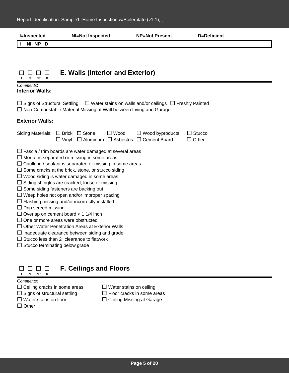| <b>I=Inspected</b>                                                                                                                                             | <b>NI=Not Inspected</b>                                                                                                                                                                                                                                                                                                                                                                                                                                                                                                                                                                                                                                                                          | <b>NP=Not Present</b>                                               | <b>D=Deficient</b>            |
|----------------------------------------------------------------------------------------------------------------------------------------------------------------|--------------------------------------------------------------------------------------------------------------------------------------------------------------------------------------------------------------------------------------------------------------------------------------------------------------------------------------------------------------------------------------------------------------------------------------------------------------------------------------------------------------------------------------------------------------------------------------------------------------------------------------------------------------------------------------------------|---------------------------------------------------------------------|-------------------------------|
| NI NP D                                                                                                                                                        |                                                                                                                                                                                                                                                                                                                                                                                                                                                                                                                                                                                                                                                                                                  |                                                                     |                               |
|                                                                                                                                                                | <b>E. Walls (Interior and Exterior)</b>                                                                                                                                                                                                                                                                                                                                                                                                                                                                                                                                                                                                                                                          |                                                                     |                               |
| Comments:<br><b>Interior Walls:</b>                                                                                                                            |                                                                                                                                                                                                                                                                                                                                                                                                                                                                                                                                                                                                                                                                                                  |                                                                     |                               |
| $\Box$ Signs of Structural Settling                                                                                                                            | □ Non-Combustable Material Missing at Wall between Living and Garage                                                                                                                                                                                                                                                                                                                                                                                                                                                                                                                                                                                                                             | $\Box$ Water stains on walls and/or ceilings $\Box$ Freshly Painted |                               |
| <b>Exterior Walls:</b>                                                                                                                                         |                                                                                                                                                                                                                                                                                                                                                                                                                                                                                                                                                                                                                                                                                                  |                                                                     |                               |
| Siding Materials: $\Box$ Brick $\Box$ Stone                                                                                                                    | $\Box$ Wood<br>$\Box$ Vinyl $\Box$ Aluminum $\Box$ Asbestos $\Box$ Cement Board                                                                                                                                                                                                                                                                                                                                                                                                                                                                                                                                                                                                                  | $\Box$ Wood byproducts                                              | $\Box$ Stucco<br>$\Box$ Other |
| $\Box$ Drip screed missing<br>$\Box$ Overlap on cement board < 1 1/4 inch<br>$\Box$ One or more areas were obstructed<br>$\Box$ Stucco terminating below grade | $\Box$ Fascia / trim boards are water damaged at several areas<br>$\Box$ Mortar is separated or missing in some areas<br>$\Box$ Caulking / sealant is separated or missing in some areas<br>$\Box$ Some cracks at the brick, stone, or stucco siding<br>$\Box$ Wood siding is water damaged in some areas<br>$\Box$ Siding shingles are cracked, loose or missing<br>$\Box$ Some siding fasteners are backing out<br>$\Box$ Weep holes not open and/or improper spacing<br>$\Box$ Flashing missing and/or incorrectly installed<br>□ Other Water Penetration Areas at Exterior Walls<br>$\Box$ Inadequate clearance between siding and grade<br>$\Box$ Stucco less than 2" clearance to flatwork |                                                                     |                               |

#### **F. Ceilings and Floors**  $\begin{array}{cccccccccccccc} \Box & \Box & \Box & \Box & \Box \end{array}$ **I NI NP D**

- $\Box$  Ceiling cracks in some areas  $\Box$  Water stains on ceiling  $\Box$  Signs of structural settling  $\Box$  Floor cracks in some area
- 
- 
- $\square$  Other
- 
- $\Box$  Floor cracks in some areas
- $\square$  Water stains on floor  $\square$  Ceiling Missing at Garage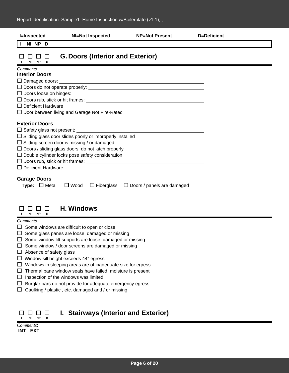| <b>I=Inspected</b>                                        | <b>NI=Not Inspected</b>                                                                                               | <b>NP=Not Present</b>                               | D=Deficient |
|-----------------------------------------------------------|-----------------------------------------------------------------------------------------------------------------------|-----------------------------------------------------|-------------|
| NI NP D                                                   |                                                                                                                       |                                                     |             |
| <b>NI</b><br><b>NP</b><br>D                               | <b>G. Doors (Interior and Exterior)</b>                                                                               |                                                     |             |
| Comments:                                                 |                                                                                                                       |                                                     |             |
| <b>Interior Doors</b>                                     |                                                                                                                       |                                                     |             |
|                                                           |                                                                                                                       |                                                     |             |
|                                                           |                                                                                                                       |                                                     |             |
|                                                           |                                                                                                                       |                                                     |             |
|                                                           | $\Box$ Doors rub, stick or hit frames:                                                                                |                                                     |             |
| $\Box$ Deficient Hardware                                 |                                                                                                                       |                                                     |             |
|                                                           | $\Box$ Door between living and Garage Not Fire-Rated                                                                  |                                                     |             |
| <b>Exterior Doors</b><br>$\Box$ Safety glass not present: | $\Box$ Sliding glass door slides poorly or improperly installed<br>$\Box$ Sliding screen door is missing / or damaged |                                                     |             |
|                                                           | $\Box$ Doors / sliding glass doors: do not latch properly                                                             |                                                     |             |
|                                                           | $\Box$ Double cylinder locks pose safety consideration                                                                |                                                     |             |
|                                                           |                                                                                                                       |                                                     |             |
| $\Box$ Deficient Hardware                                 |                                                                                                                       |                                                     |             |
| <b>Garage Doors</b><br><b>Type:</b> $\Box$ Metal          | $\Box$ Wood                                                                                                           | $\Box$ Fiberglass $\Box$ Doors / panels are damaged |             |
| ΝI<br><b>NP</b><br>D                                      | <b>H. Windows</b>                                                                                                     |                                                     |             |
| Comments:                                                 |                                                                                                                       |                                                     |             |

- $\Box$  Some windows are difficult to open or close
- $\square$  Some glass panes are loose, damaged or missing
- $\square$  Some window lift supports are loose, damaged or missing
- $\square$  Some window / door screens are damaged or missing
- $\Box$  Absence of safety glass
- Window sill height exceeds 44" egress
- $\Box$  Windows in sleeping areas are of inadequate size for egress
- $\Box$  Thermal pane window seals have failed, moisture is present
- $\square$  Inspection of the windows was limited
- $\Box$  Burglar bars do not provide for adequate emergency egress
- $\Box$  Caulking / plastic, etc. damaged and / or missing

#### **I. Stairways (Interior and Exterior)** 0000 **I NI NP D**

| Comments: |     |  |
|-----------|-----|--|
| INT       | EXT |  |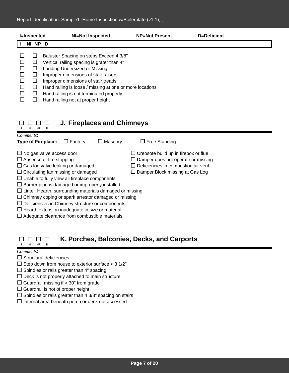| <b>I=Inspected</b> | NI=Not Inspected                                                                                                                                                                                                                                                                                                                                  | <b>NP=Not Present</b> | D=Deficient |  |
|--------------------|---------------------------------------------------------------------------------------------------------------------------------------------------------------------------------------------------------------------------------------------------------------------------------------------------------------------------------------------------|-----------------------|-------------|--|
| NI                 | NP D                                                                                                                                                                                                                                                                                                                                              |                       |             |  |
|                    | Baluster Spacing on steps Exceed 4 3/8"<br>Vertical railing spacing is grater than 4"<br>Landing Undersized or Missing<br>Improper dimensions of stair raisers<br>Improper dimensions of stair treads<br>Hand railing is loose / missing at one or more locations<br>Hand railing is not terminated properly<br>Hand railing not at proper height |                       |             |  |

#### **J. Fireplaces and Chimneys** 0000

### **I NI NP D** *Comments*: **Type of Fireplace:** □ Factory □ Masonry □ Free Standing  $\Box$  No gas valve access door  $\Box$  Creosote build up in firebox or flue  $\Box$  Absence of fire stopping  $\Box$  Damper does not operate or missing  $\Box$  Gas log valve leaking or damaged  $\Box$  Deficiencies in combustion air vent  $\Box$  Circulating fan missing or damaged  $\Box$  Damper Block missing at Gas Log  $\square$  Unable to fully view all fireplace components  $\square$  Burner pipe is damaged or improperly installed  $\Box$  Lintel, Hearth, surrounding materials damaged or missing  $\Box$  Chimney coping or spark arrestor damaged or missing  $\square$  Deficiencies in Chimney structure or components  $\Box$  Hearth extension inadequate in size or material  $\Box$  Adequate clearance from combustible materials

#### **K. Porches, Balconies, Decks, and Carports** 88888 **I NI NP D**

- $\square$  Structural deficiencies
- $\Box$  Step down from house to exterior surface < 3 1/2"
- $\square$  Spindles or rails greater than 4" spacing
- $\square$  Deck is not properly attached to main structure
- $\square$  Guardrail missing if > 30" from grade
- $\Box$  Guardrail is not of proper height
- $\square$  Spindles or rails greater than 4 3/8" spacing on stairs
- $\square$  Internal area beneath porch or deck not accessed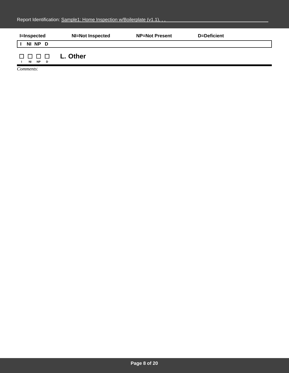| <b>I=Inspected</b>                   | <b>NI=Not Inspected</b> | <b>NP=Not Present</b> | D=Deficient |  |
|--------------------------------------|-------------------------|-----------------------|-------------|--|
| NI NP D                              |                         |                       |             |  |
| 88888<br><b>NP</b><br>NI<br><b>D</b> | L. Other                |                       |             |  |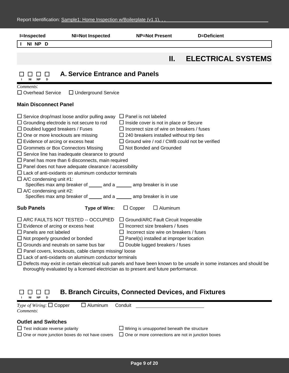| <b>I=Inspected</b>                                                                                                                                                                                 | <b>NI=Not Inspected</b>                                                                                                                                                                                                                                                                                                                                                                                                                                                                                                                                      | <b>NP=Not Present</b>                                                                                                                                                                                                                                                          | D=Deficient                                                                                                                |  |
|----------------------------------------------------------------------------------------------------------------------------------------------------------------------------------------------------|--------------------------------------------------------------------------------------------------------------------------------------------------------------------------------------------------------------------------------------------------------------------------------------------------------------------------------------------------------------------------------------------------------------------------------------------------------------------------------------------------------------------------------------------------------------|--------------------------------------------------------------------------------------------------------------------------------------------------------------------------------------------------------------------------------------------------------------------------------|----------------------------------------------------------------------------------------------------------------------------|--|
| NI NP D                                                                                                                                                                                            |                                                                                                                                                                                                                                                                                                                                                                                                                                                                                                                                                              |                                                                                                                                                                                                                                                                                |                                                                                                                            |  |
|                                                                                                                                                                                                    |                                                                                                                                                                                                                                                                                                                                                                                                                                                                                                                                                              | П.                                                                                                                                                                                                                                                                             | <b>ELECTRICAL SYSTEMS</b>                                                                                                  |  |
| ப<br><b>NI</b><br><b>NP</b><br>D                                                                                                                                                                   | <b>A. Service Entrance and Panels</b>                                                                                                                                                                                                                                                                                                                                                                                                                                                                                                                        |                                                                                                                                                                                                                                                                                |                                                                                                                            |  |
| Comments:<br>$\Box$ Overhead Service                                                                                                                                                               | $\Box$ Underground Service                                                                                                                                                                                                                                                                                                                                                                                                                                                                                                                                   |                                                                                                                                                                                                                                                                                |                                                                                                                            |  |
| <b>Main Disconnect Panel</b>                                                                                                                                                                       |                                                                                                                                                                                                                                                                                                                                                                                                                                                                                                                                                              |                                                                                                                                                                                                                                                                                |                                                                                                                            |  |
| $\Box$ Doubled lugged breakers / Fuses<br>$\Box$ One or more knockouts are missing<br>$\Box$ Evidence of arcing or excess heat<br>$\Box$ A/C condensing unit #1:<br>$\Box$ A/C condensing unit #2: | $\Box$ Service drop/mast loose and/or pulling away<br>$\Box$ Grounding electrode is not secure to rod<br>$\Box$ Grommets or Box Connectors Missing<br>$\Box$ Service line has inadequate clearance to ground<br>$\Box$ Panel has more than 6 disconnects, main required<br>$\Box$ Panel does not have adequate clearance / accessibility<br>$\Box$ Lack of anti-oxidants on aluminum conductor terminals<br>Specifies max amp breaker of ______ and a ______ amp breaker is in use<br>Specifies max amp breaker of ______ and a ______ amp breaker is in use | $\Box$ Panel is not labeled<br>$\Box$ Inside cover is not in place or Secure<br>$\Box$ Incorrect size of wire on breakers / fuses<br>$\Box$ 240 breakers installed without trip ties<br>$\Box$ Ground wire / rod / CWB could not be verified<br>$\Box$ Not Bonded and Grounded |                                                                                                                            |  |
| <b>Sub Panels</b>                                                                                                                                                                                  | <b>Type of Wire:</b>                                                                                                                                                                                                                                                                                                                                                                                                                                                                                                                                         | $\Box$ Aluminum<br>$\Box$ Copper                                                                                                                                                                                                                                               |                                                                                                                            |  |
| $\Box$ Evidence of arcing or excess heat<br>$\Box$ Panels are not labeled<br>$\Box$ Not properly grounded or bonded                                                                                | $\Box$ ARC FAULTS NOT TESTED -- OCCUPIED<br>$\Box$ Grounds and neutrals on same bus bar<br>$\Box$ Panel covers, knockouts, cable clamps missing/loose<br>$\Box$ Lack of anti-oxidants on aluminum conductor terminals<br>thoroughly evaluated by a licensed electrician as to present and future performance.                                                                                                                                                                                                                                                | □ Ground/ARC Fault Circuit Inoperable<br>$\Box$ Incorrect size breakers / fuses<br>$\Box$ Incorrect size wire on breakers / fuses<br>$\Box$ Panel(s) installed at improper location<br>$\Box$ Double lugged breakers / fuses                                                   | $\Box$ Defects may exist in certain electrical sub panels and have been known to be unsafe in some instances and should be |  |

### **B. Branch Circuits, Connected Devices, and Fixtures**  $\begin{array}{cccccccccccccc} \Box & \Box & \Box & \Box & \Box \end{array}$ **I NI NP D**

| <i>Type of Wiring</i> : $\Box$ Copper<br>Comments:                                                                          | $\Box$ Aluminum | Conduit                                                                                                        |
|-----------------------------------------------------------------------------------------------------------------------------|-----------------|----------------------------------------------------------------------------------------------------------------|
| <b>Outlet and Switches</b><br>$\Box$ Test indicate reverse polarity<br>$\Box$ One or more junction boxes do not have covers |                 | $\Box$ Wiring is unsupported beneath the structure<br>$\Box$ One or more connections are not in junction boxes |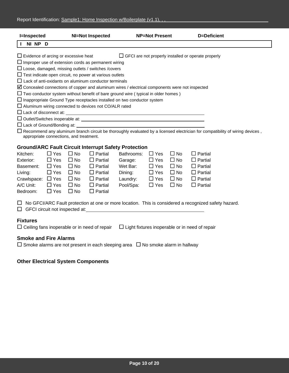| <b>I</b> =Inspected                     |                                                                                                           |           | <b>NI=Not Inspected</b>                                        |                                                                                                           | <b>NP=Not Present</b> |              | D=Deficient    |                                                                                                                                     |  |  |
|-----------------------------------------|-----------------------------------------------------------------------------------------------------------|-----------|----------------------------------------------------------------|-----------------------------------------------------------------------------------------------------------|-----------------------|--------------|----------------|-------------------------------------------------------------------------------------------------------------------------------------|--|--|
| NI NP D                                 |                                                                                                           |           |                                                                |                                                                                                           |                       |              |                |                                                                                                                                     |  |  |
|                                         | $\Box$ Evidence of arcing or excessive heat<br>$\Box$ GFCI are not properly installed or operate properly |           |                                                                |                                                                                                           |                       |              |                |                                                                                                                                     |  |  |
|                                         |                                                                                                           |           | $\Box$ Improper use of extension cords as permanent wiring     |                                                                                                           |                       |              |                |                                                                                                                                     |  |  |
|                                         |                                                                                                           |           | $\Box$ Loose, damaged, missing outlets / switches / covers     |                                                                                                           |                       |              |                |                                                                                                                                     |  |  |
|                                         |                                                                                                           |           | $\Box$ Test indicate open circuit, no power at various outlets |                                                                                                           |                       |              |                |                                                                                                                                     |  |  |
|                                         |                                                                                                           |           | $\Box$ Lack of anti-oxidants on aluminum conductor terminals   |                                                                                                           |                       |              |                |                                                                                                                                     |  |  |
|                                         |                                                                                                           |           |                                                                | $\boxtimes$ Concealed connections of copper and aluminum wires / electrical components were not inspected |                       |              |                |                                                                                                                                     |  |  |
|                                         |                                                                                                           |           |                                                                | $\Box$ Two conductor system without benefit of bare ground wire (typical in older homes)                  |                       |              |                |                                                                                                                                     |  |  |
|                                         |                                                                                                           |           |                                                                | $\Box$ Inappropriate Ground Type receptacles installed on two conductor system                            |                       |              |                |                                                                                                                                     |  |  |
|                                         |                                                                                                           |           | $\Box$ Aluminum wiring connected to devices not CO/ALR rated   |                                                                                                           |                       |              |                |                                                                                                                                     |  |  |
|                                         |                                                                                                           |           |                                                                |                                                                                                           |                       |              |                |                                                                                                                                     |  |  |
|                                         |                                                                                                           |           |                                                                |                                                                                                           |                       |              |                |                                                                                                                                     |  |  |
|                                         |                                                                                                           |           |                                                                | $\Box$ Lack of Ground/Bonding at: $\Box$                                                                  |                       |              |                |                                                                                                                                     |  |  |
| appropriate connections, and treatment. |                                                                                                           |           |                                                                |                                                                                                           |                       |              |                | $\Box$ Recommend any aluminum branch circuit be thoroughly evaluated by a licensed electrician for compatibility of wiring devices, |  |  |
|                                         |                                                                                                           |           |                                                                | <b>Ground/ARC Fault Circuit Interrupt Safety Protection</b>                                               |                       |              |                |                                                                                                                                     |  |  |
| Kitchen:                                | $\Box$ Yes                                                                                                | $\Box$ No | $\Box$ Partial                                                 | Bathrooms:                                                                                                | $\Box$ Yes            | $\Box$ No    | $\Box$ Partial |                                                                                                                                     |  |  |
| Exterior:                               | $\Box$ Yes                                                                                                | $\Box$ No | $\Box$ Partial                                                 | Garage:                                                                                                   | $\Box$ Yes            | $\Box$ No    | $\Box$ Partial |                                                                                                                                     |  |  |
| Basement:                               | $\Box$ Yes                                                                                                | $\Box$ No | $\Box$ Partial                                                 | Wet Bar:                                                                                                  | $\Box$ Yes            | $\Box$ No    | $\Box$ Partial |                                                                                                                                     |  |  |
| Living:                                 | $\Box$ Yes                                                                                                | $\Box$ No | $\Box$ Partial                                                 | Dining:                                                                                                   | $\Box$ Yes            | $\Box$ No    | $\Box$ Partial |                                                                                                                                     |  |  |
| Crawlspace:                             | $\Box$ Yes                                                                                                | $\Box$ No | $\Box$ Partial                                                 | Laundry:                                                                                                  | $\Box$ Yes            | $\square$ No | $\Box$ Partial |                                                                                                                                     |  |  |
| A/C Unit:                               | $\Box$ Yes                                                                                                | $\Box$ No | $\Box$ Partial                                                 | Pool/Spa:                                                                                                 | $\Box$ Yes            | $\Box$ No    | $\Box$ Partial |                                                                                                                                     |  |  |

No GFCI/ARC Fault protection at one or more location. This is considered a recognized safety hazard. GFCI circuit not inspected at:

### **Fixtures**

| $\Box$ Ceiling fans inoperable or in need of repair | $\Box$ Light fixtures inoperable or in need of repair |
|-----------------------------------------------------|-------------------------------------------------------|
|                                                     |                                                       |

### **Smoke and Fire Alarms**

 $\Box$  Smoke alarms are not present in each sleeping area  $\Box$  No smoke alarm in hallway

### **Other Electrical System Components**

Bedroom:  $\Box$  Yes  $\Box$  No  $\Box$  Partial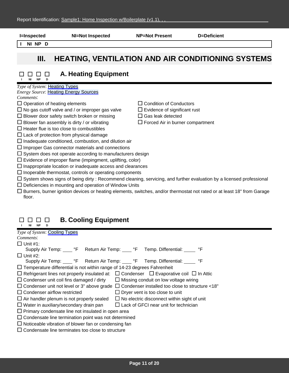| NI NP D<br><b>HEATING, VENTILATION AND AIR CONDITIONING SYSTEMS</b><br>III.<br><b>A. Heating Equipment</b><br><b>NP</b><br>Type of System: Heating Types<br><b>Energy Source: Heating Energy Sources</b><br>Comments:<br>$\Box$ Operation of heating elements<br><b>Condition of Conductors</b><br>$\Box$ No gas cutoff valve and / or improper gas valve<br>Evidence of significant rust<br>$\Box$ Blower door safety switch broken or missing<br>$\Box$ Gas leak detected<br>$\Box$ Blower fan assembly is dirty / or vibrating<br>$\Box$ Forced Air in burner compartment<br>$\Box$ Heater flue is too close to combustibles<br>$\Box$ Lack of protection from physical damage<br>$\Box$ Inadequate conditioned, combustion, and dilution air<br>$\Box$ Improper Gas connector materials and connections<br>$\Box$ System does not operate according to manufacturers design<br>$\Box$ Evidence of improper flame (impingment, uplifting, color)<br>$\Box$ Inappropriate location or inadequate access and clearances<br>$\Box$ Inoperable thermostat, controls or operating components<br>$\Box$ System shows signs of being dirty : Recommend cleaning, servicing, and further evaluation by a licensed professional | <b>I=Inspected</b> | <b>NI=Not Inspected</b> | <b>NP=Not Present</b> | D=Deficient |  |
|---------------------------------------------------------------------------------------------------------------------------------------------------------------------------------------------------------------------------------------------------------------------------------------------------------------------------------------------------------------------------------------------------------------------------------------------------------------------------------------------------------------------------------------------------------------------------------------------------------------------------------------------------------------------------------------------------------------------------------------------------------------------------------------------------------------------------------------------------------------------------------------------------------------------------------------------------------------------------------------------------------------------------------------------------------------------------------------------------------------------------------------------------------------------------------------------------------------------------|--------------------|-------------------------|-----------------------|-------------|--|
|                                                                                                                                                                                                                                                                                                                                                                                                                                                                                                                                                                                                                                                                                                                                                                                                                                                                                                                                                                                                                                                                                                                                                                                                                           |                    |                         |                       |             |  |
|                                                                                                                                                                                                                                                                                                                                                                                                                                                                                                                                                                                                                                                                                                                                                                                                                                                                                                                                                                                                                                                                                                                                                                                                                           |                    |                         |                       |             |  |
|                                                                                                                                                                                                                                                                                                                                                                                                                                                                                                                                                                                                                                                                                                                                                                                                                                                                                                                                                                                                                                                                                                                                                                                                                           |                    |                         |                       |             |  |
|                                                                                                                                                                                                                                                                                                                                                                                                                                                                                                                                                                                                                                                                                                                                                                                                                                                                                                                                                                                                                                                                                                                                                                                                                           |                    |                         |                       |             |  |
| $\Box$ Deficiencies in mounting and operation of Window Units                                                                                                                                                                                                                                                                                                                                                                                                                                                                                                                                                                                                                                                                                                                                                                                                                                                                                                                                                                                                                                                                                                                                                             |                    |                         |                       |             |  |

### **B. Cooling Equipment I NI NP D**

|           | Type of System: Cooling Types |
|-----------|-------------------------------|
| Comments: |                               |

| $\Box$ Unit #1:                                                                                              |
|--------------------------------------------------------------------------------------------------------------|
| Supply Air Temp: _____ °F Return Air Temp: ____ °F Temp. Differential: _____ °F                              |
| $\Box$ Unit #2:                                                                                              |
| Supply Air Temp: F Return Air Temp: F Temp. Differential: ______ °F                                          |
| $\Box$ Temperature differential is not within range of 14-23 degrees Fahrenheit                              |
| $\Box$ Refrigerant lines not properly insulated at: $\Box$ Condenser $\Box$ Evaporative coil $\Box$ In Attic |
| $\Box$ Missing conduit on low voltage wiring<br>$\Box$ Condenser unit coil fins damaged / dirty              |
| $\Box$ Condenser unit not level or 3" above grade $\Box$ Condenser installed too close to structure <18"     |
| $\Box$ Condenser airflow restricted<br>$\Box$ Dryer vent is too close to unit                                |
| $\Box$ Air handler plenum is not properly sealed<br>$\Box$ No electric disconnect within sight of unit       |
| $\Box$ Lack of GFCI near unit for technician<br>$\Box$ Water in auxiliary/secondary drain pan                |
| $\Box$ Primary condensate line not insulated in open area                                                    |
| $\Box$ Condensate line termination point was not determined                                                  |
| $\Box$ Noticeable vibration of blower fan or condensing fan                                                  |
| $\Box$ Condensate line terminates too close to structure                                                     |
|                                                                                                              |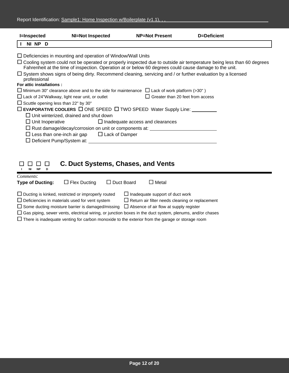| <b>I=Inspected</b>                          | <b>NI=Not Inspected</b>                                                                                | <b>NP=Not Present</b>                   | D=Deficient                                                                                                                 |
|---------------------------------------------|--------------------------------------------------------------------------------------------------------|-----------------------------------------|-----------------------------------------------------------------------------------------------------------------------------|
| NI NP D                                     |                                                                                                        |                                         |                                                                                                                             |
|                                             | $\Box$ Deficiencies in mounting and operation of Window/Wall Units                                     |                                         |                                                                                                                             |
|                                             |                                                                                                        |                                         |                                                                                                                             |
|                                             | Fahrenheit at the time of inspection. Operation at or below 60 degrees could cause damage to the unit. |                                         | $\Box$ Cooling system could not be operated or properly inspected due to outside air temperature being less than 60 degrees |
|                                             |                                                                                                        |                                         | $\Box$ System shows signs of being dirty. Recommend cleaning, servicing and / or further evaluation by a licensed           |
| professional                                |                                                                                                        |                                         |                                                                                                                             |
| For attic installations :                   |                                                                                                        |                                         |                                                                                                                             |
|                                             | $\Box$ Minimum 30" clearance above and to the side for maintenance $\Box$ Lack of work platform (>30") |                                         |                                                                                                                             |
|                                             | $\Box$ Lack of 24"Walkway, light near unit, or outlet                                                  | $\Box$ Greater than 20 feet from access |                                                                                                                             |
| $\Box$ Scuttle opening less than 22" by 30" |                                                                                                        |                                         |                                                                                                                             |
|                                             | $\square$ EVAPORATIVE COOLERS $\square$ ONE SPEED $\square$ TWO SPEED Water Supply Line:               |                                         |                                                                                                                             |
|                                             | $\Box$ Unit winterized, drained and shut down                                                          |                                         |                                                                                                                             |
|                                             | $\Box$ Unit Inoperative $\Box$ Inadequate access and clearances                                        |                                         |                                                                                                                             |
|                                             | □ Rust damage/decay/corrosion on unit or components at: _______________________                        |                                         |                                                                                                                             |
|                                             | $\Box$ Less than one-inch air gap $\Box$ Lack of Damper                                                |                                         |                                                                                                                             |
|                                             | $\Box$ Deficient Pump/System at:                                                                       |                                         |                                                                                                                             |
|                                             |                                                                                                        |                                         |                                                                                                                             |
|                                             |                                                                                                        |                                         |                                                                                                                             |

| NP.<br>NI<br>D.         |                                                           | <b>C. Duct Systems, Chases, and Vents</b>                                                                       |
|-------------------------|-----------------------------------------------------------|-----------------------------------------------------------------------------------------------------------------|
| Comments:               |                                                           |                                                                                                                 |
| <b>Type of Ducting:</b> | $\Box$ Flex Ducting                                       | $\Box$ Duct Board<br>$\Box$ Metal                                                                               |
|                         | $\Box$ Ducting is kinked, restricted or improperly routed | $\Box$ Inadequate support of duct work                                                                          |
|                         | $\Box$ Deficiencies in materials used for vent system     | $\Box$ Return air filter needs cleaning or replacement                                                          |
|                         | $\Box$ Some ducting moisture barrier is damaged/missing   | $\Box$ Absence of air flow at supply register                                                                   |
|                         |                                                           | $\Box$ Gas piping, sewer vents, electrical wiring, or junction boxes in the duct system, plenums, and/or chases |
|                         |                                                           | $\Box$ There is inadequate venting for carbon monoxide to the exterior from the garage or storage room          |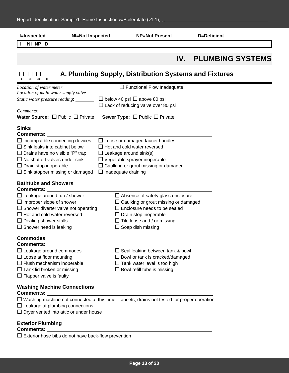| <b>I=Inspected</b>                                                                                                                                                                                                                                                      | <b>NI=Not Inspected</b> | <b>NP=Not Present</b>                                                                                                                                                                                                             | D=Deficient |                         |  |
|-------------------------------------------------------------------------------------------------------------------------------------------------------------------------------------------------------------------------------------------------------------------------|-------------------------|-----------------------------------------------------------------------------------------------------------------------------------------------------------------------------------------------------------------------------------|-------------|-------------------------|--|
| NI NP D                                                                                                                                                                                                                                                                 |                         |                                                                                                                                                                                                                                   |             |                         |  |
|                                                                                                                                                                                                                                                                         |                         |                                                                                                                                                                                                                                   | IV.         | <b>PLUMBING SYSTEMS</b> |  |
| <b>NP</b>                                                                                                                                                                                                                                                               |                         | A. Plumbing Supply, Distribution Systems and Fixtures                                                                                                                                                                             |             |                         |  |
| Location of water meter:<br>Location of main water supply valve:<br>Static water pressure reading: _____<br>Comments:<br><b>Water Source:</b> $\Box$ Public $\Box$ Private                                                                                              |                         | $\Box$ Functional Flow Inadequate<br>$\Box$ below 40 psi $\Box$ above 80 psi<br>$\Box$ Lack of reducing valve over 80 psi<br><b>Sewer Type:</b> $\Box$ Public $\Box$ Private                                                      |             |                         |  |
| <b>Sinks</b><br>Comments:<br>$\Box$ Incompatible connecting devices<br>$\Box$ Sink leaks into cabinet below<br>$\Box$ Drains have no visible "P" trap<br>$\Box$ No shut off valves under sink<br>$\Box$ Drain stop inoperable<br>$\Box$ Sink stopper missing or damaged |                         | $\Box$ Loose or damaged faucet handles<br>$\Box$ Hot and cold water reversed<br>$\Box$ Leakage around sink(s)<br>$\Box$ Vegetable sprayer inoperable<br>$\Box$ Caulking or grout missing or damaged<br>$\Box$ Inadequate draining |             |                         |  |
| <b>Bathtubs and Showers</b><br>Comments:<br>$\Box$ Leakage around tub / shower<br>$\Box$ Improper slope of shower<br>$\Box$ Shower diverter valve not operating<br>$\Box$ Hot and cold water reversed<br>$\Box$ Dealing shower stalls<br>$\Box$ Shower head is leaking  |                         | $\Box$ Absence of safety glass enclosure<br>$\Box$ Caulking or grout missing or damaged<br>$\Box$ Enclosure needs to be sealed<br>$\Box$ Drain stop inoperable<br>$\Box$ Tile loose and / or missing<br>$\Box$ Soap dish missing  |             |                         |  |
| <b>Commodes</b><br><b>Comments:</b><br>$\Box$ Leakage around commodes<br>$\Box$ Loose at floor mounting<br>$\Box$ Flush mechanism inoperable<br>$\Box$ Tank lid broken or missing<br>$\Box$ Flapper valve is faulty                                                     |                         | $\Box$ Seal leaking between tank & bowl<br>$\Box$ Bowl or tank is cracked/damaged<br>$\Box$ Tank water level is too high<br>$\Box$ Bowl refill tube is missing                                                                    |             |                         |  |
| <b>Washing Machine Connections</b><br><b>Comments:</b><br>$\Box$ Leakage at plumbing connections<br>$\Box$ Dryer vented into attic or under house                                                                                                                       |                         | $\Box$ Washing machine not connected at this time - faucets, drains not tested for proper operation                                                                                                                               |             |                         |  |
| <b>Exterior Plumbing</b>                                                                                                                                                                                                                                                |                         |                                                                                                                                                                                                                                   |             |                         |  |

 $\square$  Exterior hose bibs do not have back-flow prevention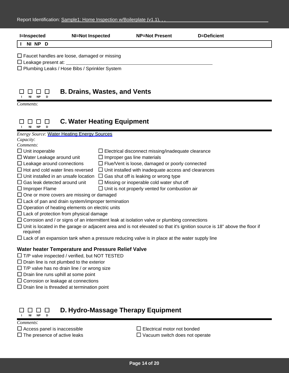| <b>I=Inspected</b>                                                                                                                   | <b>NI=Not Inspected</b>             |                                    | <b>NP=Not Present</b>                                                                                       | D=Deficient                                                                                                                      |
|--------------------------------------------------------------------------------------------------------------------------------------|-------------------------------------|------------------------------------|-------------------------------------------------------------------------------------------------------------|----------------------------------------------------------------------------------------------------------------------------------|
| NI NP D                                                                                                                              |                                     |                                    |                                                                                                             |                                                                                                                                  |
| $\Box$ Faucet handles are loose, damaged or missing<br>$\Box$ Leakage present at:<br>□ Plumbing Leaks / Hose Bibs / Sprinkler System |                                     |                                    |                                                                                                             |                                                                                                                                  |
| <b>NP</b><br>ΝI<br>Comments:                                                                                                         | <b>B. Drains, Wastes, and Vents</b> |                                    |                                                                                                             |                                                                                                                                  |
| <b>NP</b><br>ΝI                                                                                                                      | <b>C. Water Heating Equipment</b>   |                                    |                                                                                                             |                                                                                                                                  |
| <b>Energy Source: Water Heating Energy Sources</b><br>Capacity:<br>Comments:                                                         |                                     |                                    |                                                                                                             |                                                                                                                                  |
| $\Box$ Unit inoperable                                                                                                               |                                     |                                    | $\Box$ Electrical disconnect missing/inadequate clearance                                                   |                                                                                                                                  |
| $\Box$ Water Leakage around unit                                                                                                     |                                     | $\Box$ Improper gas line materials |                                                                                                             |                                                                                                                                  |
| $\Box$ Leakage around connections<br>$\Box$ Hot and cold water lines reversed                                                        |                                     |                                    | $\Box$ Flue/Vent is loose, damaged or poorly connected                                                      |                                                                                                                                  |
| $\Box$ Unit installed in an unsafe location                                                                                          |                                     |                                    | $\Box$ Unit installed with inadequate access and clearances<br>$\Box$ Gas shut off is leaking or wrong type |                                                                                                                                  |
| $\Box$ Gas leak detected around unit                                                                                                 |                                     |                                    | $\Box$ Missing or inoperable cold water shut off                                                            |                                                                                                                                  |
| $\Box$ Improper Flame                                                                                                                |                                     |                                    | $\Box$ Unit is not properly vented for combustion air                                                       |                                                                                                                                  |
| $\Box$ One or more covers are missing or damaged                                                                                     |                                     |                                    |                                                                                                             |                                                                                                                                  |
| $\Box$ Lack of pan and drain system/improper termination                                                                             |                                     |                                    |                                                                                                             |                                                                                                                                  |
| $\Box$ Operation of heating elements on electric units                                                                               |                                     |                                    |                                                                                                             |                                                                                                                                  |
| $\Box$ Lack of protection from physical damage                                                                                       |                                     |                                    |                                                                                                             |                                                                                                                                  |
|                                                                                                                                      |                                     |                                    | $\Box$ Corrosion and / or signs of an intermittent leak at isolation valve or plumbing connections          |                                                                                                                                  |
| required                                                                                                                             |                                     |                                    |                                                                                                             | $\Box$ Unit is located in the garage or adjacent area and is not elevated so that it's ignition source is 18" above the floor if |
|                                                                                                                                      |                                     |                                    | $\Box$ Lack of an expansion tank when a pressure reducing valve is in place at the water supply line        |                                                                                                                                  |
| Water heater Temperature and Pressure Relief Valve                                                                                   |                                     |                                    |                                                                                                             |                                                                                                                                  |
| $\Box$ T/P valve inspected / verified, but NOT TESTED                                                                                |                                     |                                    |                                                                                                             |                                                                                                                                  |
| $\Box$ Drain line is not plumbed to the exterior                                                                                     |                                     |                                    |                                                                                                             |                                                                                                                                  |
| $\Box$ T/P valve has no drain line / or wrong size                                                                                   |                                     |                                    |                                                                                                             |                                                                                                                                  |
| $\Box$ Drain line runs uphill at some point                                                                                          |                                     |                                    |                                                                                                             |                                                                                                                                  |
| $\Box$ Corrosion or leakage at connections                                                                                           |                                     |                                    |                                                                                                             |                                                                                                                                  |
| $\Box$ Drain line is threaded at termination point                                                                                   |                                     |                                    |                                                                                                             |                                                                                                                                  |
| NI<br><b>NP</b>                                                                                                                      |                                     |                                    | D. Hydro-Massage Therapy Equipment                                                                          |                                                                                                                                  |

- 
- Comments:<br>□ Access panel is inaccessible<br>□ The presence of active leaks

 $\square$  Electrical motor not bonded

 $\Box$  Vacuum switch does not operate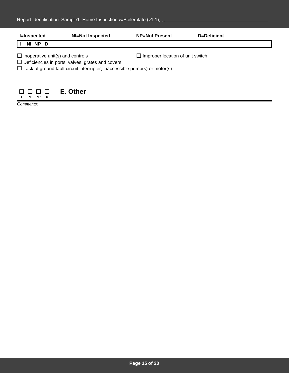| <b>I=Inspected</b>                                                                                 | <b>NI=Not Inspected</b>                                                           | <b>NP=Not Present</b>                   | D=Deficient |  |
|----------------------------------------------------------------------------------------------------|-----------------------------------------------------------------------------------|-----------------------------------------|-------------|--|
| NI NP D                                                                                            |                                                                                   |                                         |             |  |
| $\Box$ Inoperative unit(s) and controls<br>$\Box$ Deficiencies in ports, valves, grates and covers |                                                                                   | $\Box$ Improper location of unit switch |             |  |
|                                                                                                    | $\Box$ Lack of ground fault circuit interrupter, inaccessible pump(s) or motor(s) |                                         |             |  |
|                                                                                                    |                                                                                   |                                         |             |  |
| NP.<br>NI<br>D                                                                                     | E. Other                                                                          |                                         |             |  |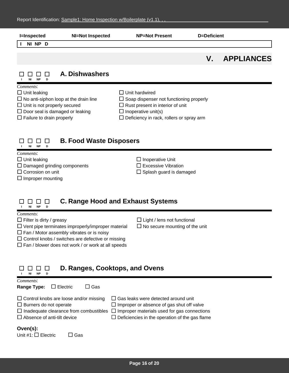| <b>I=Inspected</b>                                                                                                                                    | <b>NI=Not Inspected</b>                      | <b>NP=Not Present</b>                                                                                                                                                                                  | <b>D=Deficient</b> |                   |  |
|-------------------------------------------------------------------------------------------------------------------------------------------------------|----------------------------------------------|--------------------------------------------------------------------------------------------------------------------------------------------------------------------------------------------------------|--------------------|-------------------|--|
| NI NP D                                                                                                                                               |                                              |                                                                                                                                                                                                        |                    |                   |  |
|                                                                                                                                                       |                                              |                                                                                                                                                                                                        | $V_{\cdot}$        | <b>APPLIANCES</b> |  |
| - 1<br><b>NP</b><br>ΝI<br>D                                                                                                                           | A. Dishwashers                               |                                                                                                                                                                                                        |                    |                   |  |
| Comments:<br>$\Box$ Unit leaking<br>$\Box$ Unit is not properly secured<br>$\Box$ Door seal is damaged or leaking<br>$\Box$ Failure to drain properly | $\Box$ No anti-siphon loop at the drain line | $\Box$ Unit hardwired<br>$\Box$ Soap dispenser not functioning properly<br>$\Box$ Rust present in interior of unit<br>$\Box$ Inoperative unit(s)<br>$\square$ Deficiency in rack, rollers or spray arm |                    |                   |  |
| <b>B. Food Waste Disposers</b><br>ΙI<br><b>NP</b><br>D<br>ΝI                                                                                          |                                              |                                                                                                                                                                                                        |                    |                   |  |
| Comments:<br>$\Box$ Unit leaking<br>$\Box$ Damaged grinding components<br>$\Box$ Corrosion on unit<br>$\Box$ Improper mounting                        |                                              | $\Box$ Inoperative Unit<br>$\Box$ Excessive Vibration<br>$\Box$ Splash guard is damaged                                                                                                                |                    |                   |  |

### **C. Range Hood and Exhaust Systems I NI NP D**

| Comments:                                                                            |                                                       |  |  |
|--------------------------------------------------------------------------------------|-------------------------------------------------------|--|--|
| $\Box$ Filter is dirty / greasy                                                      | $\Box$ Light / lens not functional                    |  |  |
| $\Box$ Vent pipe terminates improperly/improper material                             | $\Box$ No secure mounting of the unit                 |  |  |
| $\Box$ Fan / Motor assembly vibrates or is noisy                                     |                                                       |  |  |
| $\Box$ Control knobs / switches are defective or missing                             |                                                       |  |  |
| $\Box$ Fan / blower does not work / or work at all speeds                            |                                                       |  |  |
|                                                                                      |                                                       |  |  |
|                                                                                      |                                                       |  |  |
|                                                                                      |                                                       |  |  |
| D. Ranges, Cooktops, and Ovens                                                       |                                                       |  |  |
| NI<br><b>NP</b><br>D                                                                 |                                                       |  |  |
| Comments:                                                                            |                                                       |  |  |
| $\square$ Gas<br>$\Box$ Electric<br><b>Range Type:</b>                               |                                                       |  |  |
|                                                                                      |                                                       |  |  |
| $\Box$ Control knobs are loose and/or missing<br>Gas leaks were detected around unit |                                                       |  |  |
| $\Box$ Burners do not operate                                                        | $\Box$ Improper or absence of gas shut off valve      |  |  |
| $\Box$ Inadequate clearance from combustibles<br>ப                                   | Improper materials used for gas connections           |  |  |
| $\Box$ Absence of anti-tilt device                                                   | $\Box$ Deficiencies in the operation of the gas flame |  |  |
|                                                                                      |                                                       |  |  |
|                                                                                      |                                                       |  |  |
| Oven(s):                                                                             |                                                       |  |  |
| Unit #1: $\Box$ Electric<br>Gas                                                      |                                                       |  |  |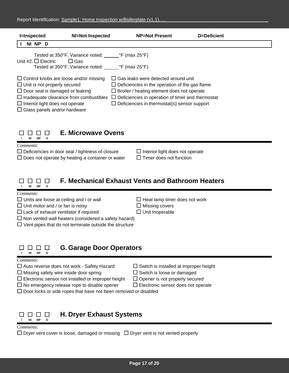| <b>I=Inspected</b>                                                                                                                                                                                                                                               | <b>NI=Not Inspected</b>                                                                                            | <b>NP=Not Present</b>                                                                                                                                                                                                                                                | D=Deficient |
|------------------------------------------------------------------------------------------------------------------------------------------------------------------------------------------------------------------------------------------------------------------|--------------------------------------------------------------------------------------------------------------------|----------------------------------------------------------------------------------------------------------------------------------------------------------------------------------------------------------------------------------------------------------------------|-------------|
| NP D<br>ΝI                                                                                                                                                                                                                                                       |                                                                                                                    |                                                                                                                                                                                                                                                                      |             |
| Unit #2: $\Box$ Electric                                                                                                                                                                                                                                         | Tested at $350^{\circ}$ F, Variance noted: $\degree$ F (max 25°F)<br>Gas<br>ΙI<br>Tested at 350°F, Variance noted: | $\degree$ F (max 25 $\degree$ F)                                                                                                                                                                                                                                     |             |
| $\Box$ Control knobs are loose and/or missing<br>$\Box$ Unit is not properly secured<br>$\Box$ Door seal is damaged or leaking<br>$\Box$ Inadequate clearance from combustibles<br>$\Box$ Interior light does not operate<br>$\Box$ Glass panels and/or hardware |                                                                                                                    | $\Box$ Gas leaks were detected around unit<br>$\Box$ Deficiencies in the operation of the gas flame<br>$\Box$ Broiler / heating element does not operate<br>Deficiencies in operation of timer and thermostat<br>$\Box$ Deficiencies in thermostat(s) sensor support |             |



## **E. Microwave Ovens**

*Comments*:

 $\Box$  Deficiencies in door seal / tightness of closure  $\Box$  Interior light does not operate

 $\Box$  Does not operate by heating a container or water  $\Box$  Timer does not function

#### **F. Mechanical Exhaust Vents and Bathroom Heaters** 8888 **I NI NP D**

*Comments*:

 $\Box$  Units are loose at ceiling and / or wall  $\Box$  Heat lamp timer does not work

 $\Box$  Unit motor and / or fan is noisy  $\Box$  Missing covers

 $\Box$  Lack of exhaust ventilator if required  $\Box$  Unit Inoperable

 $\square$  Non vented wall heaters (considered a safety hazard)

 $\Box$  Vent pipes that do not terminate outside the structure

#### **G. Garage Door Operators** 88 8 8

### *Comments*:

П.

**I NI NP D**

 $\Box$  Auto reverse does not work - Safety Hazard  $\Box$  Switch is installed at improper height

 $\Box$  Missing safety wire inside door spring  $\Box$  Switch is loose or damaged

- $\Box$  Electronic sensor not installed or improper height  $\Box$  Opener is not properly secured
- $\Box$  No emergency release rope to disable opener  $\Box$  Electronic sensor does not operate

 $\Box$  Door locks or side ropes that have not been removed or disabled



**H. Dryer Exhaust Systems**

*Comments*:

 $\Box$  Dryer vent cover is loose, damaged or missing  $\Box$  Dryer vent is not vented properly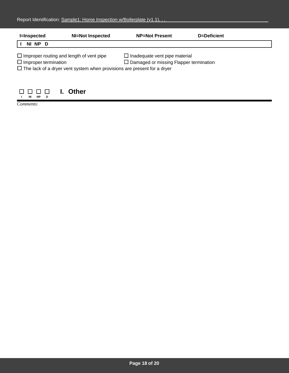| <b>I=Inspected</b>                                                                                                                                               | <b>NI=Not Inspected</b> | <b>NP=Not Present</b>                                                                 | D=Deficient |  |
|------------------------------------------------------------------------------------------------------------------------------------------------------------------|-------------------------|---------------------------------------------------------------------------------------|-------------|--|
| NI NP D                                                                                                                                                          |                         |                                                                                       |             |  |
| $\Box$ Improper routing and length of vent pipe<br>$\Box$ Improper termination<br>$\Box$ The lack of a dryer vent system when provisions are present for a dryer |                         | $\Box$ Inadequate vent pipe material<br>$\Box$ Damaged or missing Flapper termination |             |  |
| <b>NP</b><br>ΝI<br>D                                                                                                                                             | <b>Other</b>            |                                                                                       |             |  |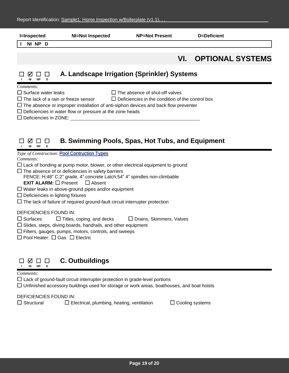| <b>I=Inspected</b>                                                                                                                                                                                                                                                                                                                                                                         | <b>NI=Not Inspected</b>                                                                                                                                                                                                                                                          | <b>NP=Not Present</b> | <b>D=Deficient</b>      |  |  |
|--------------------------------------------------------------------------------------------------------------------------------------------------------------------------------------------------------------------------------------------------------------------------------------------------------------------------------------------------------------------------------------------|----------------------------------------------------------------------------------------------------------------------------------------------------------------------------------------------------------------------------------------------------------------------------------|-----------------------|-------------------------|--|--|
| NI NP D                                                                                                                                                                                                                                                                                                                                                                                    |                                                                                                                                                                                                                                                                                  |                       |                         |  |  |
|                                                                                                                                                                                                                                                                                                                                                                                            |                                                                                                                                                                                                                                                                                  | VI.                   | <b>OPTIONAL SYSTEMS</b> |  |  |
| <b>NP</b>                                                                                                                                                                                                                                                                                                                                                                                  | A. Landscape Irrigation (Sprinkler) Systems                                                                                                                                                                                                                                      |                       |                         |  |  |
| Comments:<br>$\Box$ Surface water leaks<br>$\Box$ The absence of shut-off valves<br>$\Box$ The lack of a rain or freeze sensor<br>$\Box$ Deficiencies in the condition of the control box<br>$\Box$ The absence or improper installation of anti-siphon devices and back flow preventer<br>$\Box$ Deficiencies in water flow or pressure at the zone heads<br>$\Box$ Deficiencies in ZONE: |                                                                                                                                                                                                                                                                                  |                       |                         |  |  |
| M<br><b>NP</b><br>NI                                                                                                                                                                                                                                                                                                                                                                       | B. Swimming Pools, Spas, Hot Tubs, and Equipment<br>Type of Construction: Pool Contruction Types                                                                                                                                                                                 |                       |                         |  |  |
| Comments:                                                                                                                                                                                                                                                                                                                                                                                  | $\Box$ Lack of bonding at pump motor, blower, or other electrical equipment to ground<br>$\Box$ The absence of or deficiencies in safety barriers<br>FENCE: H;48" C;2" grade, 4" concrete Latch;54" 4" spindles non-climbable<br><b>EXIT ALARM:</b> $\Box$ Present $\Box$ Absent |                       |                         |  |  |
| $\Box$ Deficiencies in lighting fixtures                                                                                                                                                                                                                                                                                                                                                   | $\Box$ Water leaks in above-ground pipes and/or equipment<br>$\Box$ The lack of failure of required ground-fault circuit interrupter protection                                                                                                                                  |                       |                         |  |  |
|                                                                                                                                                                                                                                                                                                                                                                                            |                                                                                                                                                                                                                                                                                  |                       |                         |  |  |

DEFICIENCIES FOUND IN:

 $\square$  Surfaces  $\square$  Titles, coping, and decks  $\square$  Drains, Skimmers, Valves

 $\square$  Slides, steps, diving boards, handrails, and other equipment

 $\square$  Filters, gauges, pumps, motors, controls, and sweeps

 $\square$  Pool Heater:  $\square$  Gas  $\square$  Electric

#### **C. Outbuildings**  $\Box \ \, \boxtimes \ \, \Box \ \, \Box$ **I NI NP D**

### *Comments*:

 $\Box$  Lack of ground-fault circuit interrupter protection in grade-level portions

Unfinished accessory buildings used for storage or work areas, boathouses, and boat hoists

DEFICIENCIES FOUND IN:

 $\Box$  Structural  $\Box$  Electrical, plumbing, heating, ventilation  $\Box$  Cooling systems